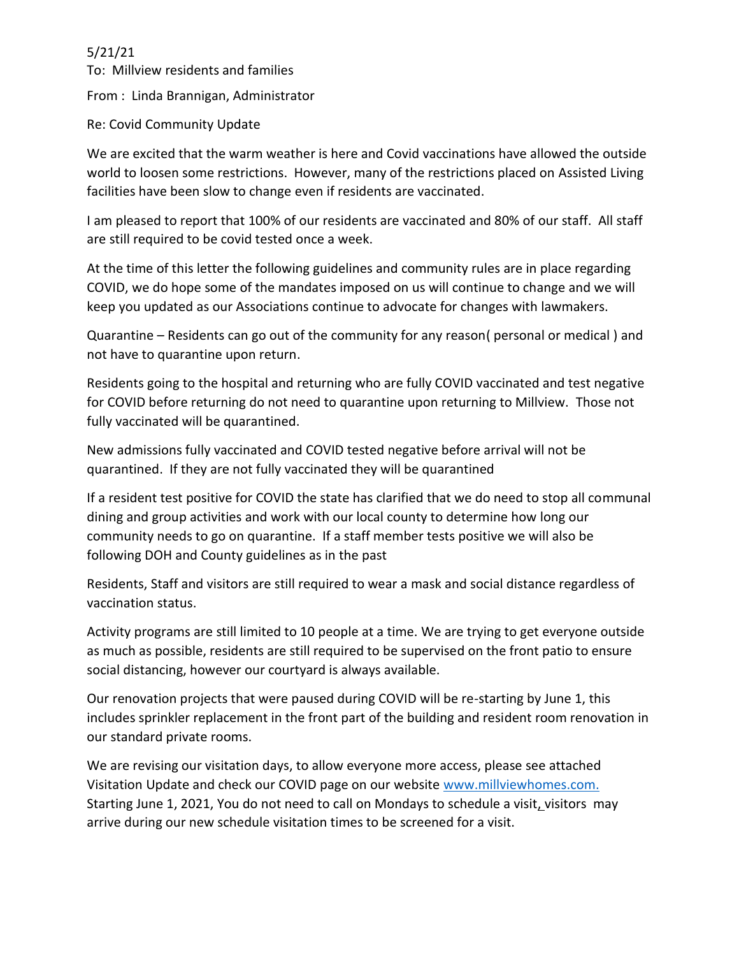## 5/21/21

To: Millview residents and families From : Linda Brannigan, Administrator

Re: Covid Community Update

We are excited that the warm weather is here and Covid vaccinations have allowed the outside world to loosen some restrictions. However, many of the restrictions placed on Assisted Living facilities have been slow to change even if residents are vaccinated.

I am pleased to report that 100% of our residents are vaccinated and 80% of our staff. All staff are still required to be covid tested once a week.

At the time of this letter the following guidelines and community rules are in place regarding COVID, we do hope some of the mandates imposed on us will continue to change and we will keep you updated as our Associations continue to advocate for changes with lawmakers.

Quarantine – Residents can go out of the community for any reason( personal or medical ) and not have to quarantine upon return.

Residents going to the hospital and returning who are fully COVID vaccinated and test negative for COVID before returning do not need to quarantine upon returning to Millview. Those not fully vaccinated will be quarantined.

New admissions fully vaccinated and COVID tested negative before arrival will not be quarantined. If they are not fully vaccinated they will be quarantined

If a resident test positive for COVID the state has clarified that we do need to stop all communal dining and group activities and work with our local county to determine how long our community needs to go on quarantine. If a staff member tests positive we will also be following DOH and County guidelines as in the past

Residents, Staff and visitors are still required to wear a mask and social distance regardless of vaccination status.

Activity programs are still limited to 10 people at a time. We are trying to get everyone outside as much as possible, residents are still required to be supervised on the front patio to ensure social distancing, however our courtyard is always available.

Our renovation projects that were paused during COVID will be re-starting by June 1, this includes sprinkler replacement in the front part of the building and resident room renovation in our standard private rooms.

We are revising our visitation days, to allow everyone more access, please see attached Visitation Update and check our COVID page on our website [www.millviewhomes.com.](http://www.millviewhomes.com/) Starting June 1, 2021, You do not need to call on Mondays to schedule a visit, visitors may arrive during our new schedule visitation times to be screened for a visit.